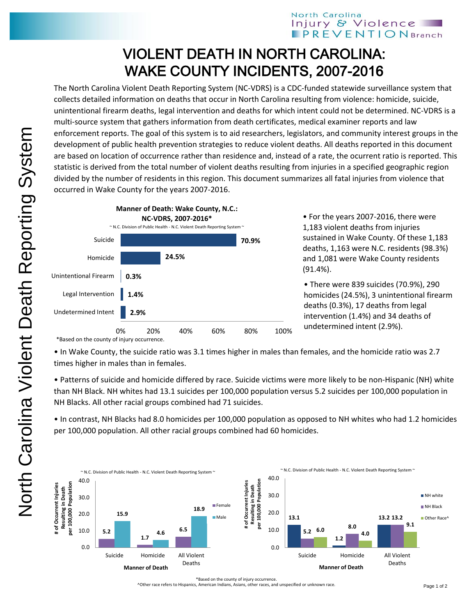## North Carolina Injury & Violence **PREVENTION** Branch

## VIOLENT DEATH IN NORTH CAROLINA: WAKE COUNTY INCIDENTS, 2007-2016

The North Carolina Violent Death Reporting System (NC-VDRS) is a CDC-funded statewide surveillance system that collects detailed information on deaths that occur in North Carolina resulting from violence: homicide, suicide, unintentional firearm deaths, legal intervention and deaths for which intent could not be determined. NC-VDRS is a multi-source system that gathers information from death certificates, medical examiner reports and law enforcement reports. The goal of this system is to aid researchers, legislators, and community interest groups in the development of public health prevention strategies to reduce violent deaths. All deaths reported in this document are based on location of occurrence rather than residence and, instead of a rate, the ocurrent ratio is reported. This statistic is derived from the total number of violent deaths resulting from injuries in a specified geographic region divided by the number of residents in this region. This document summarizes all fatal injuries from violence that occurred in Wake County for the years 2007-2016.



• For the years 2007-2016, there were 1,183 violent deaths from injuries sustained in Wake County. Of these 1,183 deaths, 1,163 were N.C. residents (98.3%) and 1,081 were Wake County residents (91.4%).

• There were 839 suicides (70.9%), 290 homicides (24.5%), 3 unintentional firearm deaths (0.3%), 17 deaths from legal intervention (1.4%) and 34 deaths of undetermined intent (2.9%).

\*Based on the county of injury occurrence.

• In Wake County, the suicide ratio was 3.1 times higher in males than females, and the homicide ratio was 2.7 times higher in males than in females.

• Patterns of suicide and homicide differed by race. Suicide victims were more likely to be non-Hispanic (NH) white than NH Black. NH whites had 13.1 suicides per 100,000 population versus 5.2 suicides per 100,000 population in NH Blacks. All other racial groups combined had 71 suicides.

• In contrast, NH Blacks had 8.0 homicides per 100,000 population as opposed to NH whites who had 1.2 homicides per 100,000 population. All other racial groups combined had 60 homicides.



^Other race refers to Hispanics, American Indians, Asians, other races, and unspecified or unknown race.